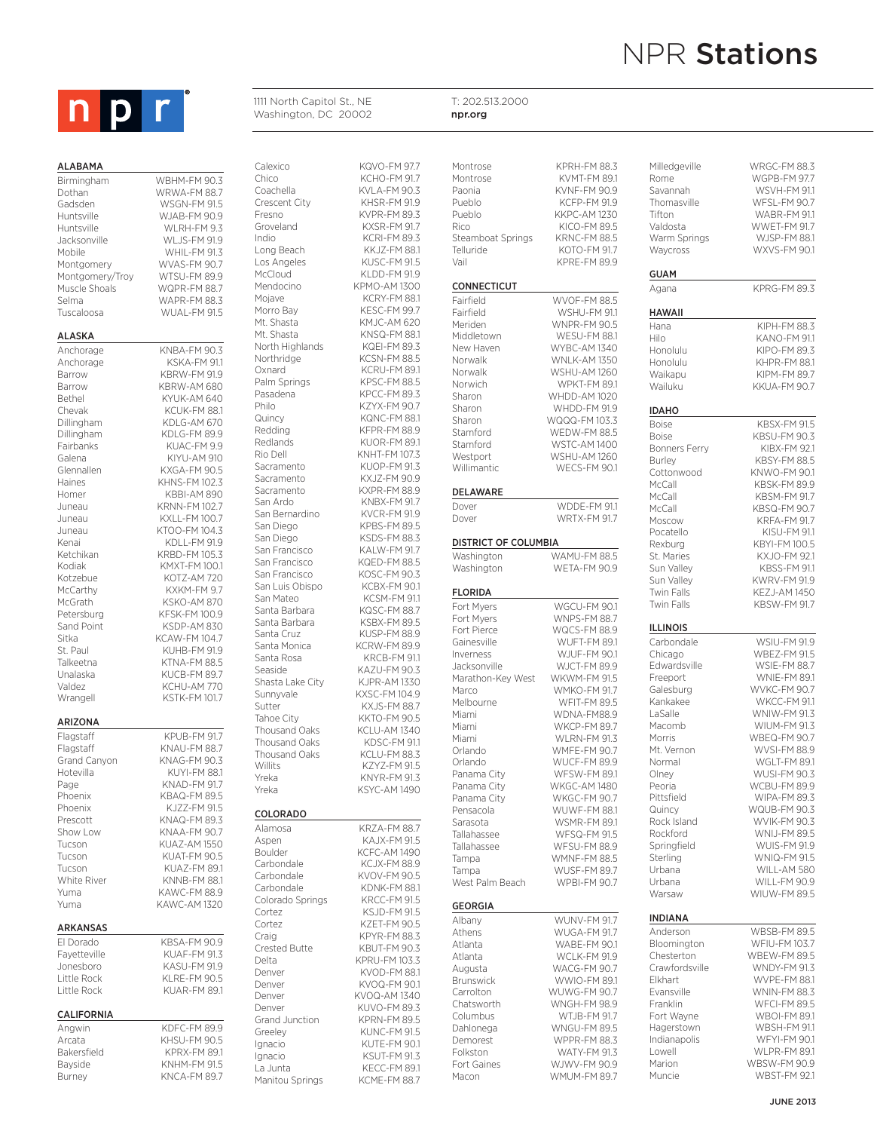

### **ALABAMA**

Dothan WRWA-FM 88.7 Gadsden WSGN-FM 91.5 such outdoor advertising and large exhibit displays Huntsville WJAB-FM 90.9 Dothan dsden Birmingham WBHM-FM 90.3 Huntsville WLRH-FM 9.3 Jacksonville WLJS-FM 91.9 Mobile WHIL-FM 91.3 Montgomery<br>Montgomery/Troy WTSU-FM 89.9

Muscle Shoals

Selma WAPR-FM 88.3 ALASKA Anchorage KNBA-FM 90.3<br>Anchorage KSKA-FM 91.1 Barrow KBRW-FM 91.9 Barrow **KBRW-AM 680** Bethel KYUK-AM 640 Chevak KCUK-FM 88.1<br>Dillingham KDLG-AM 670 Dillingham KDLG-AM 670<br>Dillingham KDLG-FM 89.9 Dillingham KDLG-FM 89.9<br>Fairbanks KUAC-FM 9.9 Galena KIYU-AM 910 Haines KHNS-FM 102.3<br>Homer KBBI-AM 890 Juneau KRNN-FM 102.7 Juneau KXLL-FM 100.7 Juneau KTOO-FM 104.3 Kenai KDLL-FM 91.9 Ketchikan KRBD-FM 105.3<br>Kodiak KMXT-FM 100.1 Kotzebue KOTZ-AM 720 McCarthy KXKM-FM 9.7 McGrath KSKO-AM 870<br>Petersburg KFSK-FM 100.9 Petersburg KFSK-FM 100.9<br>Sand Point KSDP-AM 830 Sand Point KSDP-AM 830<br>Sitka KCAW-FM 104.7 Sitka KCAW-FM 104.7<br>St Paul KUHB-FM 91.9 Talkeetna KTNA-FM 88.5 Valdez KCHU-AM 770

| <b>ARIZONA</b>    |                     |
|-------------------|---------------------|
| Flagstaff         | <b>KPUB-FM 91.7</b> |
| Flagstaff         | <b>KNAU-FM 88.7</b> |
| Grand Canyon      | KNAG-FM 903         |
| Hotevilla         | KUYI-FM 88.1        |
| Page              | <b>KNAD-FM 91.7</b> |
| Phoenix           | KRAQ-FM 895         |
| Phoenix           | K.J77-FM 91.5       |
| Prescott          | KNAQ-FM 893         |
| Show I ow         | <b>KNAA-FM 90.7</b> |
| Tucson            | KUA7-AM 1550        |
| Tucson            | KUAT-FM 90.5        |
| Tucson            | KUA7-FM 89.1        |
| White River       | KNNR-FM 881         |
| Yuma              | <b>KAWC-FM 88.9</b> |
| Yuma              | KAWC-AM 1320        |
| <b>ARKANSAS</b>   |                     |
| El Dorado         | KBSA-FM 90.9        |
| Fayetteville      | KUAF-FM 91.3        |
| Jonesboro         | KASU-FM 91.9        |
| Little Rock       | KI RF-FM 90.5       |
| Little Rock       | KUAR-FM 89.1        |
| <b>CALIFORNIA</b> |                     |
| Angwin            | KDFC-FM 89.9        |

# Montgomery/Troy WTSU-FM 89.9<br>Muscle Shoals WOPR-FM 88.7 WUAL-FM 91.5 KSKA-FM 91.1 KUAC-FM 9.9 KXGA-FM 90.5 KBBI-AM 890 KMXT-FM 100.1 KUHB-FM 91.9 KUCB-FM 89.7 KSTK-FM 101.7 M 91.7 M 88.7  $4903$ M 88.1  $M<sub>91.7</sub>$  $9.5$ M 91.5  $99.3$  $490.7$ 1550 190.5 M 89.1 M 881 Y 88.9 1320  $\overline{490.9}$  $91.3$ M 91.9  $4905$ M 89.1 Arcata KHSU-FM 90.5 KPRX-FM 89.1 Bayside KNHM-FM 91.5 Burney KNCA-FM 89.7 COLORADO

Calexico KQVO-FM 97.7<br>Chico KCHO-FM 91.7 Chico KCHO-FM 91.7<br>Coachella KVI A-FM 90.3 Coachella KVLA-FM 90.3<br>Crescent City KHSR-FM 91.9 Crescent City KHSR-FM 91.9 Fresno KVPR-FM 89.3 KXSR-FM 917 Indio KCRI-FM 89.3<br>
Long Beach KKJZ-FM 88.1 KKJZ-FM 88.1 Los Angeles KUSC-FM 91.5<br>McCloud KLDD-FM 91.9 McCloud KLDD-FM 91.9<br>Mendocino KPMO-AM 1300 Mendocino KPMO-AM 1300<br>Mojave KCRY-FM 88.1 Mojave KCRY-FM 88.1<br>Morro Bav KESC-FM 99.7 Morro Bay<br>Mt Shasta KM IC-AM 620 KM IC-AM 620 Mt. Shasta KNSQ-FM 88.1 North Highlands Northridge KCSN-FM 88.5<br>
Oxnard KCRU-FM 89.1 KCRU-FM 89.1 Palm Springs KPSC-FM 88.5 Pasadena KPCC-FM 89.3<br>Philo KZYX-FM 90.7 KZYX-FM 90.7 Quincy KQNC-FM 88.1<br>Redding KFPR-FM 88.9 Redding KFPR-FM 88.9<br>Redlands KUOR-FM 89.1 Redlands KUOR-FM 89.1<br>Rio Dell KNHT-FM 107.3 KNHT-FM 107.3 Sacramento KUOP-FM 91.3<br>Sacramento KXJZ-FM 90.9 KXJZ-FM 90.9 Sacramento KXPR-FM 88.9<br>San Ardo KNBX-FM 91.7 KNBX-FM 91.7<br>KVCR-FM 91.9 San Bernardino San Diego KPBS-FM 89.5 San Diego KSDS-FM 88.3<br>San Francisco KALW-FM 91.7 San Francisco KALW-FM 91.7<br>San Francisco KQED-FM 88.5 San Francisco KQED-FM 88.5<br>San Francisco KOSC-FM 90.3 KOSC-FM 90.3<br>KCBX-FM 90.1 San Luis Obispo San Mateo KCSM-FM 91.1<br>Santa Barbara KQSC-FM 88.7 Santa Barbara KQSC-FM 88.7 Santa Barbara KSBX-FM 89.5<br>Santa Cruz KUSP-FM 88.9 Santa Cruz KUSP-FM 88.9 KCRW-FM 899 Santa Rosa KRCB-FM 911 Seaside KAZU-FM 90.3<br>Shasta Lake City KJPR-AM 1330 Shasta Lake City<br>Sunnyvale Sunnyvale KXSC-FM 104.9<br>Sutter KX IS-FM 88.7 KXJS-FM 88.7 Tahoe City KKTO-FM 90.5 Thousand Oaks KCLU-AM 1340 Thousand Oaks KDSC-FM 91.1<br>Thousand Oaks KCLU-FM 88.3 Thousand Oaks Willits KZYZ-FM 91.5 Yreka KNYR-FM 91.3 Yreka KSYC-AM 1490 Alamosa KRZA-FM 88.7 Aspen KAJX-FM 91.5 Boulder KCFC-AM 1490<br>Carbondale KCJX-FM 88.9 KCJX-FM 88.9 Carbondale KVOV-FM 90.5 Carbondale **KDNK-FM 88.1** Colorado Springs KRCC-FM 91.5 Cortez KSJD-FM 91.5 Cortez KZET-FM 90.5 Craig KPYR-FM 88.3<br>Crested Butte KBUT-FM 90.3 KBUT-FM 90.3 Delta KPRU-FM 103.3 KVOD-FM 88.1 Denver KVOQ-FM 90.1 KVOQ-AM 1340 Denver KUVO-FM 89.3 Grand Junction KPRN-FM 89.5 Greeley KUNC-FM 91.5 Ignacio KUTE-FM 90.1 Ignacio KSUT-FM 91.3 La Junta KECC-FM 89.1 Manitou Springs KCME-FM 88.7

1111 North Capitol St., NE Washington, DC 20002

| Montrose                                       | KPRH-FM 88.3                               |
|------------------------------------------------|--------------------------------------------|
| Montrose                                       | <b>KVMT-FM 89.1</b>                        |
| Paonia                                         | KVNF-FM 90.9                               |
| Pueblo                                         | <b>KCFP-FM 91.9</b>                        |
| Pueblo                                         | KKPC-AM 1230                               |
| Rico                                           | KICO-FM 89.5                               |
| Steamboat Springs                              | <b>KRNC-FM 88.5</b>                        |
| Telluride                                      | KOTO-FM 91.7                               |
| Vail                                           | KPRE-FM 89.9                               |
| CONNECTICUT                                    |                                            |
| Fairfield                                      | <b>WVOF-FM 88.5</b>                        |
| Fairfield                                      | <b>WSHU-FM 91.1</b>                        |
| Meriden                                        | <b>WNPR-FM 90.5</b>                        |
| Middletown                                     | WESU-FM 88.1                               |
| New Haven                                      | WYBC-AM 1340                               |
| Norwalk                                        | <b>WNLK-AM 1350</b>                        |
| Norwalk                                        | WSHU-AM 1260                               |
| Norwich                                        | <b>WPKT-FM 89.1</b>                        |
| Sharon                                         | WHDD-AM 1020                               |
| Sharon                                         | WHDD-FM 91.9                               |
| Sharon                                         | WQQQ-FM 103.3                              |
| Stamford                                       | <b>WEDW-FM 88.5</b>                        |
| Stamford                                       | <b>WSTC-AM 1400</b>                        |
| Westport<br>Willimantic                        | WSHU-AM 1260<br><b>WECS-FM 90.1</b>        |
|                                                |                                            |
| DELAWARE                                       |                                            |
| Dover                                          | <b>WDDE-FM 91.1</b>                        |
| Dover                                          | <b>WRTX-FM 91.7</b>                        |
| <b>DISTRICT OF COLUMBIA</b>                    |                                            |
| Washington                                     | <b>WAMU-FM 88.5</b>                        |
| Washington                                     | <b>WETA-FM 90.9</b>                        |
| FLORIDA                                        |                                            |
| Fort Myers                                     | WGCU-FM 90.1                               |
| Fort Myers                                     | <b>WNPS-FM 88.7</b>                        |
| Fort Pierce                                    | <b>WQCS-FM 88.9</b>                        |
|                                                |                                            |
| Gainesville                                    | <b>WUFT-FM 89.1</b>                        |
|                                                | WJUF-FM 90.1                               |
|                                                | WJCT-FM 89.9                               |
| Inverness<br>Jacksonville<br>Marathon-Key West | WKWM-FM 91.5                               |
|                                                | WMKO-FM 91.7                               |
| Marco<br>Melbourne                             | <b>WFIT-FM 89.5</b>                        |
| Miami                                          | WDNA-FM88.9                                |
| Miami                                          | <b>WKCP-FM 89.7</b>                        |
| Miami                                          | <b>WLRN-FM 91.3</b>                        |
| Orlando                                        | <b>WMFE-FM 90.7</b>                        |
| Orlando                                        | WUCF-FM 89.9                               |
| Panama City                                    | WFSW-FM 89.1                               |
| Panama City                                    | <b>WKGC-AM 1480</b>                        |
| Panama City                                    | WKGC-FM 90.7                               |
| Pensacola<br>Sarasota                          | <b>WUWF-FM 88.1</b><br><b>WSMR-FM 89.1</b> |
| Tallahassee                                    | WFSQ-FM 91.5                               |
| Tallahassee                                    | WFSU-FM 88.9                               |
| Tampa                                          |                                            |
| Tampa                                          | <b>WMNF-FM 88.5</b><br><b>WUSF-FM 89.7</b> |
| West Palm Beach                                | <b>WPBI-FM 90.7</b>                        |
|                                                |                                            |
| GEORGIA                                        |                                            |
| Athens                                         | <b>WUNV-FM 91.7</b>                        |
| Atlanta                                        | WUGA-FM 91.7<br>WABE-FM 90.1               |
|                                                | WCLK-FM 91.9                               |
| Atlanta<br>Augusta                             | <b>WACG-FM 90.7</b>                        |
| <b>Brunswick</b>                               | WWIO-FM 89.1                               |
| Carrolton                                      | <b>WUWG-FM 90.7</b>                        |
| Chatsworth                                     | WNGH-FM 98.9                               |
| Columbus                                       | WTJB-FM 91.7                               |
| Albany<br>Dahlonega                            | <b>WNGU-FM 89.5</b>                        |
| Demorest                                       | WPPR-FM 88.3                               |
| Folkston                                       | <b>WATY-FM 91.3</b>                        |
| Fort Gaines                                    | WJWV-FM 90.9                               |
| Macon                                          | <b>WMUM-FM 89.7</b>                        |

T: 202.513.2000 npr.org

| Milledgeville        | WRGC-FM 88.3        |
|----------------------|---------------------|
|                      |                     |
| Rome                 | WGPB-FM 97.7        |
| Savannah             | WSVH-FM 91.1        |
| Thomasville          | <b>WFSL-FM 90.7</b> |
| Tifton               | WABR-FM 91.1        |
| Valdosta             | WWET-FM 91.7        |
| Warm Springs         | WJSP-FM 88.1        |
| Waycross             | WXVS-FM 90.1        |
|                      |                     |
| GUAM                 |                     |
|                      | KPRG-FM 89.3        |
| Agana                |                     |
| HAWAII               |                     |
|                      |                     |
| Hana                 | KIPH-FM 88.3        |
| Hilo                 | KANO-FM 91.1        |
| Honolulu             | KIPO-FM 89.3        |
| Honolulu             | KHPR-FM 88.1        |
| Waikapu              | <b>KIPM-FM 89.7</b> |
| Wailuku              | KKUA-FM 90.7        |
|                      |                     |
| IDAHO                |                     |
| Boise                | KBSX-FM 91.5        |
| <b>Boise</b>         | <b>KBSU-FM 90.3</b> |
| <b>Bonners Ferry</b> | KIBX-FM 92.1        |
|                      | <b>KBSY-FM88.5</b>  |
| Burley               |                     |
| Cottonwood           | KNWO-FM 90.1        |
| McCall               | KBSK-FM 89.9        |
| McCall               | <b>KBSM-FM 91.7</b> |
| McCall               | KBSQ-FM 90.7        |
| Moscow               | <b>KRFA-FM 91.7</b> |
| Pocatello            | KISU-FM 91.1        |
| Rexburg              | KBYI-FM 100.5       |
| St. Maries           | KXJO-FM 92.1        |
| Sun Valley           | <b>KBSS-FM 91.1</b> |
|                      |                     |
| Sun Valley           | KWRV-FM 91.9        |
| Twin Falls           | <b>KEZJ-AM1450</b>  |
| Twin Falls           | KBSW-FM 91.7        |
| ILLINOIS             |                     |
|                      |                     |
| Carbondale           | <b>WSIU-FM 91.9</b> |
| Chicago              | <b>WBEZ-FM 91.5</b> |
| Edwardsville         | <b>WSIE-FM 88.7</b> |
| Freeport             | <b>WNIE-FM 89.1</b> |
| Galesburg            | <b>WVKC-FM 90.7</b> |
| Kankakee             | <b>WKCC-FM 91.1</b> |
| LaSalle              | <b>WNIW-FM 91.3</b> |
| Macomb               | <b>WIUM-FM 91.3</b> |
| Morris               | <b>WBEQ-FM 90.7</b> |
| Mt. Vernon           | WVSI-FM 88.9        |
| Normal               | WGLT-FM 89.1        |
|                      |                     |
| Olney                | <b>WUSI-FM 90.3</b> |
| Peoria               | WCBU-FM 89.9        |
| Pittsfield           | WIPA-FM 89.3        |
| Quincy               | WQUB-FM 90.3        |
| Rock Island          | WVIK-FM 90.3        |
| Rockford             | <b>WNIJ-FM 89.5</b> |
| Springfield          | <b>WUIS-FM 91.9</b> |
| Sterling             | <b>WNIQ-FM 91.5</b> |
| Urbana               | WILL-AM 580         |
| Urbana               | WILL-FM 90.9        |
| Warsaw               | <b>WIUW-FM 89.5</b> |
|                      |                     |
| INDIANA              |                     |
| Anderson             | <b>WBSB-FM89.5</b>  |
| Bloomington          | <b>WFIU-FM103.7</b> |
| Chesterton           | <b>WBEW-FM 89.5</b> |
| Crawfordsville       |                     |
|                      | WNDY-FM 91.3        |
| Elkhart              | WVPE-FM 88.1        |
| Evansville           | WNIN-FM 88.3        |
| Franklin             | <b>WFCI-FM 89.5</b> |
| Fort Wayne           | <b>WBOI-FM 89.1</b> |
| Hagerstown           | WBSH-FM 91.1        |
| Indianapolis         | <b>WFYI-FM 90.1</b> |
| Lowell               | WLPR-FM 89.1        |
| Marion               | <b>WBSW-FM 90.9</b> |
| Muncie               | <b>WBST-FM 92.1</b> |
|                      |                     |
|                      |                     |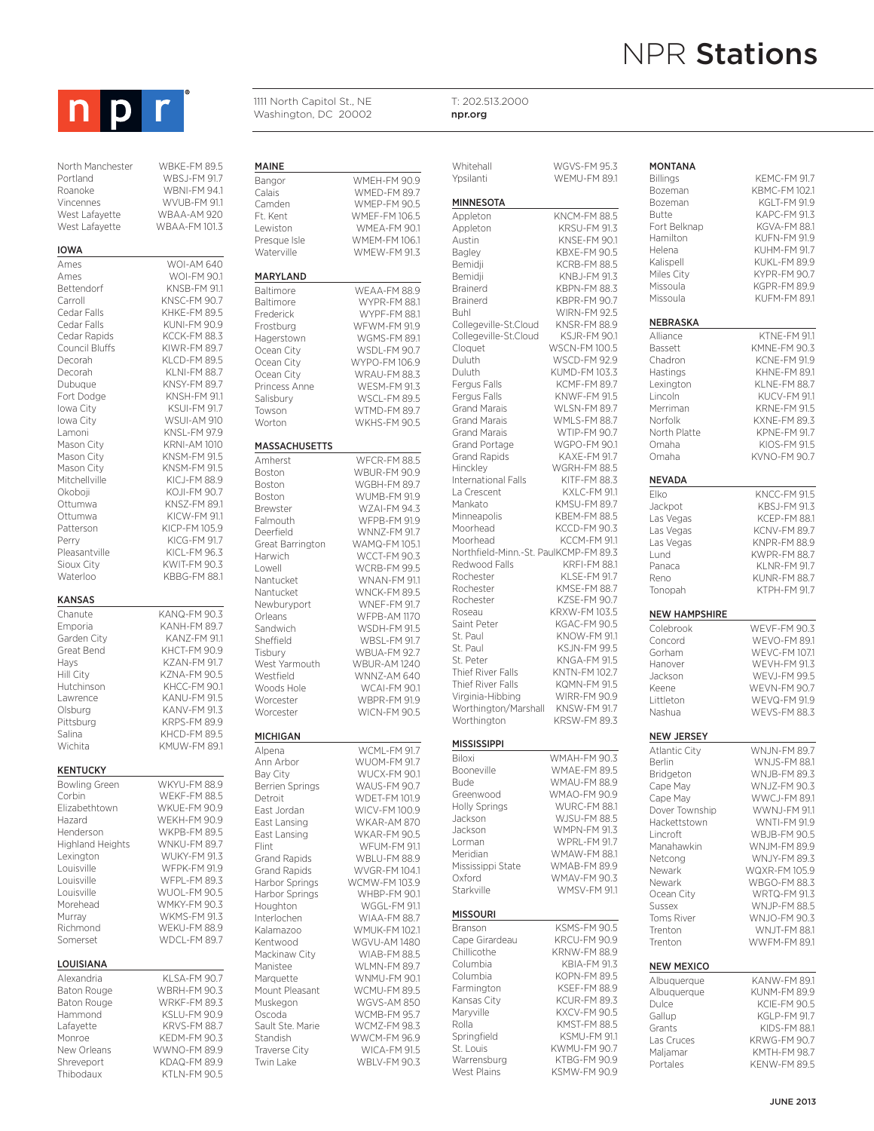

| North Manchester | WBKF-FM 8 |
|------------------|-----------|
| Portland         | WBSJ-FM!  |
| Roanoke          | WBNI-FM!  |
| Vincennes        | WVUB-FM   |
| West Lafavette   | WBAA-AM 9 |
| West Lafavette   | WBAA-FM1  |
|                  |           |

### IOWA

Ames WOI-AM 640 Ames WOI-FM 90.1 Bettendorf KNSB-FM 91.1 Carroll KNSC-FM 90.7<br>Cedar Falls KHKE-FM 89.5 Cedar Falls KHKE-FM 89.5 Cedar Falls KUNI-FM 90.9 Council Bluffs KIWR-FM 89.7 Decorah KLCD-FM 89.5 Decorah KLNI-FM 88.7<br>Dubuque KNSY-FM 89.7 Fort Dodge KNSH-FM 91.1 Iowa City KSUI-FM 91.7 Iowa City WSUI-AM 910 Lamoni KNSL-FM 97.9 Mason City KRNI-AM 1010 Mason City<br>Mason City **KNSM-FM 91.5** Mitchellville KICJ-FM 88.9 Okoboji KOJI-FM 90.7 Ottumwa KNSZ-FM 89.1<br>Ottumwa KICW-FM 91.1 Ottumwa KICW-FM 91.1<br>Patterson KICP-FM 105.9 Patterson KICP-FM 105.9<br>Perry KICG-FM 91.7 Pleasantville KICL-FM 96.3 Sioux City **KWIT-FM 90.3** Waterloo KBBG-FM 88.1 KANSAS Chanute KANQ-FM 90.3<br>Emporia KANH-FM 89.7 Emporia KANH-FM 89.7 Great Bend KHCT-FM 90.9 Hays KZAN-FM 91.7<br>Hill City KZNA-FM 90.5 Hutchinson KHCC-FM 90.1 Lawrence KANU-FM 91.5<br>Olsburg KANV-FM 91.3 KANV-FM 91.3 Pittsburg KRPS-FM 89.9 Salina KHCD-FM 89.5

### **KENTUCKY**

Bowling Green WKYU-FM 88.9 Corbin WEKF-FM 88.5<br>Flizabethtown WKUF-FM 90.9 Hazard WEKH-FM 90.9<br>Henderson WKPB-FM 89.5 Highland Heights Lexington WUKY-FM 91.3 Louisville WFPK-FM 91.9 Louisville WFPL-FM 89.3<br>
Louisville WUOL-FM 90.5 Morehead WMKY-FM 90.3<br>Murray WKMS-FM 91.3 Richmond WEKU-FM 88.9 Somerset WDCL-FM 89.7

## LOUISIANA

Alexandria KLSA-FM 90.7 Baton Rouge WBRH-FM 90.3 Baton Rouge WRKF-FM 89.3 Hammond KSLU-FM 90.9 Monroe KEDM-FM 90.3 New Orleans WWNO-FM 89.9 Shreveport KDAQ-FM 89.9<br>Thibodaux KTLN-FM 90.5

```
M89.5M 91.7
M 941
EM911M 920
41013MAINE
            Ft. Kent
```
KCCK-FM 88.3 KNSY-FM 89.7 KNSM-FM 91.5 KICG-FM 91.7 KANZ-FM 91.1 KZNA-FM 90.5 Waterville MARYLAN Ocean Cit Worton MASSACH Deerfield Nantucke Tisbury Woods Hole WCAI-FM 90.1

# MICHIGAN

KMUW-FM 89.1

WKUE-FM 90.9

WKPB-FM 89.5<br>WNKU-FM 89.7

WUOL-FM 90.5

WKMS-FM 91.3

KRVS-FM 88.7

KTLN-FM 90.5

Harbor Springs Mackinaw City Traverse City

| Bangor           | <b>WMEH-FM 90.9</b> |
|------------------|---------------------|
| Calais           | WMED-FM 89.7        |
| Camden           | <b>WMFP-FM 90.5</b> |
| Ft. Kent         | <b>WMEF-FM106.5</b> |
| Lewiston         | WMEA-FM 90.1        |
| Presaue Isle     | WMEM-FM 106.1       |
| Waterville       | <b>WMFW-FM 91.3</b> |
| MARYLAND         |                     |
| <b>Baltimore</b> | WEAA-FM 88.9        |
| Baltimore        | <b>WYPR-FM 88.1</b> |
| Frederick        | <b>WYPF-FM 88.1</b> |
| Frostburg        | <b>WFWM-FM 91.9</b> |
| Hagerstown       | <b>WGMS-FM 89.1</b> |
| Ocean City       | WSDL-FM 90.7        |
| Ocean City       | WYPO-FM 106.9       |
| Ocean City       | WRAU-FM 88.3        |
| Princess Anne    | <b>WESM-FM 91.3</b> |
| Salisbury        | WSCL-FM 89.5        |
| Towson           | WTMD-FM 89.7        |
| Worton           | <b>WKHS-FM 90.5</b> |
| MASSACHUSETTS    |                     |
| Amherst          | WFCR-FM 88.5        |
| <b>Boston</b>    | <b>WBUR-FM 90.9</b> |
| <b>Boston</b>    | WGBH-FM 89.7        |
| Boston           | <b>WUMB-FM 91.9</b> |
| Brewster         | <b>WZAI-FM 94.3</b> |
| Falmouth         | <b>WFPB-FM 91.9</b> |
| Deerfield        | <b>WNNZ-FM 91.7</b> |
| Great Barrington | WAMQ-FM 105.1       |
| Harwich          | <b>WCCT-FM 90.3</b> |
| Lowell           | WCRB-FM 99.5        |
| Nantucket        | <b>WNAN-FM 91.1</b> |
| Nantucket        | <b>WNCK-FM 89.5</b> |
| Newburyport      | <b>WNEF-FM 91.7</b> |
| Orleans          | <b>WFPB-AM 1170</b> |
| Sandwich         | <b>WSDH-FM 91.5</b> |
| Sheffield        | <b>WBSL-FM 91.7</b> |
| Tisbury          | <b>WBUA-FM 92.7</b> |
| West Yarmouth    | <b>WBUR-AM 1240</b> |
| Mestfield        | WNN7-AM 640         |

1111 North Capitol St., NE Washington, DC 20002

Worcester WBPR-FM 91.9<br>Worcester WICN-FM 90.5

WICN-FM 90.5

Alpena WCML-FM 91.7<br>Ann Arbor WUOM-FM 91.7 Ann Arbor WUOM-FM 91.7<br>Bay City WUCX-FM 90.1 WUCX-FM 90.1 Berrien Springs WAUS-FM 90.7<br>Detroit WDET-FM 101.9 Detroit WDET-FM 101.9<br>East Jordan WICV-FM 100.9 East Jordan WICV-FM 100.9<br>East Lansing WKAR-AM 870 East Lansing WKAR-AM 870<br>East Lansing WKAR-FM 90.5 WKAR-FM 90.5 Flint WFUM-FM 91.1 Grand Rapids WBLU-FM 88.9<br>Grand Rapids WVGR-FM 104.1 WVGR-FM 104.1 Harbor Springs WCMW-FM 103.9<br>Harbor Springs WHBP-FM 90.1 Houghton WGGL-FM 91.1 Interlochen WIAA-FM 88.7 Kalamazoo WMUK-FM 102.1 Kentwood WGVU-AM 1480 Manistee WI MN-FM 89.7 Marquette WNMU-FM 901 Mount Pleasant WCMU-FM 89.5 Muskegon WGVS-AM 850 Oscoda WCMB-FM 95.7 WCMZ-FM 98.3 Standish WWCM-FM 96.9<br>Traverse City WICA-FM 915 Twin Lake WBLV-FM 90.3

| Whitehall                                  | <b>WGVS-FM 95.3</b>                        |
|--------------------------------------------|--------------------------------------------|
| Ypsilanti                                  | WEMU-FM 89.1                               |
| MINNESOTA                                  |                                            |
| Appleton                                   | KNCM-FM 88.5                               |
| Appleton                                   | KRSU-FM 91.3                               |
| Austin                                     | KNSE-FM 90.1                               |
| Bagley                                     | KBXE-FM 90.5                               |
| Bemidji                                    | KCRB-FM 88.5                               |
| Bemidji<br><b>Brainerd</b>                 | KNBJ-FM 91.3<br>KBPN-FM 88.3               |
| Brainerd                                   | <b>KBPR-FM 90.7</b>                        |
| Buhl                                       | <b>WIRN-FM 92.5</b>                        |
| Collegeville-St.Cloud                      | KNSR-FM 88.9                               |
| Collegeville-St.Cloud                      | KSJR-FM 90.1                               |
| Cloquet                                    | WSCN-FM 100.5                              |
| Duluth                                     | WSCD-FM 92.9                               |
| Duluth                                     | KUMD-FM 103.3                              |
| Fergus Falls                               | <b>KCMF-FM 89.7</b>                        |
| Fergus Falls                               | <b>KNWF-FM 91.5</b>                        |
| <b>Grand Marais</b>                        | <b>WLSN-FM 89.7</b>                        |
| <b>Grand Marais</b><br><b>Grand Marais</b> | <b>WMLS-FM 88.7</b><br><b>WTIP-FM 90.7</b> |
| <b>Grand Portage</b>                       | WGPO-FM 90.1                               |
| <b>Grand Rapids</b>                        | KAXE-FM 91.7                               |
| Hinckley                                   | WGRH-FM 88.5                               |
| International Falls                        | KITF-FM 88.3                               |
| La Crescent                                | KXLC-FM 91.1                               |
| Mankato                                    | KMSU-FM 89.7                               |
| Minneapolis                                | KBEM-FM 88.5                               |
| Moorhead                                   | KCCD-FM 90.3                               |
| Moorhead                                   | KCCM-FM 91.1                               |
| Northfield-Minn.-St. PaulKCMP-FM 89.3      |                                            |
| Redwood Falls<br>Rochester                 | <b>KRFI-FM 88.1</b><br>KLSE-FM 91.7        |
| Rochester                                  | <b>KMSE-FM 88.7</b>                        |
| Rochester                                  | KZSE-FM 90.7                               |
| Roseau                                     | KRXW-FM 103.5                              |
| Saint Peter                                | KGAC-FM 90.5                               |
| St. Paul                                   | KNOW-FM 91.1                               |
| St. Paul                                   | <b>KSJN-FM 99.5</b>                        |
| St. Peter                                  | KNGA-FM 91.5                               |
| Thief River Falls                          | KNTN-FM 102.7                              |
| Thief River Falls                          | KQMN-FM 91.5                               |
| Virginia-Hibbing<br>Worthington/Marshall   | WIRR-FM 90.9<br>KNSW-FM 91.7               |
| Worthington                                | KRSW-FM 89.3                               |
|                                            |                                            |
| MISSISSIPPI                                |                                            |
| Biloxi                                     | WMAH-FM 90.3                               |
| Booneville                                 | WMAE-FM 89.5                               |
| <b>Bude</b>                                | WMAU-FM 88.9                               |
| Greenwood                                  | WMAO-FM 90.9                               |
| Holly Springs                              | WURC-FM 88.1                               |
| Jackson                                    | <b>WJSU-FM 88.5</b>                        |
| Jackson<br>I orman                         | WMPN-FM 91.3<br>WPRL-FM 91.7               |
| Meridian                                   | <b>WMAW-FM 88.1</b>                        |
| Mississippi State                          | WMAB-FM 89.9                               |
| Oxford                                     | <b>WMAV-FM 90.3</b>                        |
| Starkville                                 | WMSV-FM 91.1                               |
|                                            |                                            |
| MISSOURI                                   |                                            |
| Branson                                    | <b>KSMS-FM 90.5</b>                        |
| Cape Girardeau                             | KRCU-FM 90.9<br>KRNW-FM 88.9               |
| Chillicothe<br>Columbia                    | KBIA-FM 91.3                               |
| Columbia                                   | KOPN-FM 89.5                               |
| Farmington                                 | KSEF-FM 88.9                               |
| Kansas City                                | KCUR-FM 89.3                               |
| Maryville                                  | KXCV-FM 90.5                               |
|                                            |                                            |

T: 202.513.2000 npr.org

**H-FM 90.3 E-FM 89.5** U-FM 88.9  $O-FM9O9$ RC-FM 881  $J-FM$  88.5 <sub>N-FM</sub> 91.3 RI-FM 917 M-FM 881 **B-FM 89.9** V-FM 90.3 ISV-FM 91.1  $\overline{\mathsf{IS-HM}}$  90.5  $U-FM 90.9$ W-FM 88.9  $H - FM 91.3$ N-FM 89.5 F-FM 88.9 R-FM 89.3 W-FM 90.5 Rolla KMST-FM 88.5 KSMU-FM 91.1 St. Louis KWMU-FM 90.7 KTBG-FM 90.9 West Plains KSMW-FM 90.9

| MONTANA                            |                                             |
|------------------------------------|---------------------------------------------|
| <b>Billings</b>                    | KEMC-FM 91.7                                |
| Bozeman                            | KBMC-FM 102.1                               |
| Bozeman<br>Butte                   | KGLT-FM 91.9<br>KAPC-FM 91.3                |
| Fort Belknap                       | KGVA-FM 88.1                                |
| Hamilton                           | KUFN-FM 91.9                                |
| Helena                             | <b>KUHM-FM 91.7</b>                         |
| Kalispell                          | KUKI-FM 89.9                                |
| Miles City                         | KYPR-FM 90.7                                |
| Missoula<br>Missoula               | KGPR-FM 89.9<br>KUFM-FM 89.1                |
|                                    |                                             |
| NEBRASKA                           |                                             |
| Alliance                           | <b>KTNE-FM 91.1</b>                         |
| Bassett                            | KMNE-FM 90.3                                |
| Chadron<br>Hastings                | KCNE-FM 91.9<br>KHNE-FM 89.1                |
| Lexington                          | KLNE-FM 88.7                                |
| Lincoln                            | KUCV-FM 91.1                                |
| Merriman                           | <b>KRNE-FM 91.5</b>                         |
| Norfolk                            | <b>KXNE-FM 89.3</b>                         |
| North Platte                       | <b>KPNE-FM 91.7</b>                         |
| Omaha                              | KIOS-FM 91.5                                |
| Omaha                              | KVNO-FM 90.7                                |
| NEVADA                             |                                             |
| Elko                               | <b>KNCC-FM 91.5</b>                         |
| Jackpot                            | KBSJ-FM 91.3                                |
| Las Vegas                          | <b>KCEP-FM 88.1</b>                         |
| Las Vegas                          | <b>KCNV-FM 89.7</b>                         |
| Las Vegas<br>Lund                  | KNPR-FM 88.9<br>KWPR-FM 88.7                |
| Panaca                             | KLNR-FM 91.7                                |
| Reno                               | KUNR-FM 88.7                                |
|                                    |                                             |
| Tonopah                            | KTPH-FM 91.7                                |
|                                    |                                             |
| NEW HAMPSHIRE                      |                                             |
| Colebrook                          | <b>WEVF-FM 90.3</b>                         |
| Concord<br>Gorham                  | <b>WEVO-FM 89.1</b><br><b>WEVC-FM 107.1</b> |
| Hanover                            | <b>WEVH-FM 91.3</b>                         |
| Jackson                            | <b>WEVJ-FM 99.5</b>                         |
| Keene                              | <b>WEVN-FM 90.7</b>                         |
| Littleton                          | WEVQ-FM 91.9                                |
| Nashua                             | <b>WEVS-FM 88.3</b>                         |
| <b>NEW JERSEY</b>                  |                                             |
| <b>Atlantic City</b>               | WNJN-FM 89.7                                |
| <b>Berlin</b>                      | <b>WNJS-FM 88.1</b>                         |
| Bridgeton                          | <b>WNJB-FM 89.3</b>                         |
| Cape May                           | WNJZ-FM 90.3                                |
| Cape May                           | WWCJ-FM 89.1                                |
| Dover Township<br>Hackettstown     | WWNJ-FM 91.1                                |
| Lincroft                           | WNTI-FM 91.9<br>WBJB-FM 90.5                |
| Manahawkin                         | WNJM-FM 89.9                                |
| Netcong                            | WNJY-FM 89.3                                |
| Newark                             | WQXR-FM 105.9                               |
| Newark                             | WBGO-FM 88.3                                |
| Ocean City                         | <b>WRTQ-FM 91.3</b>                         |
| <b>Sussex</b><br><b>Toms River</b> | WNJP-FM 88.5                                |
| Trenton                            | WNJO-FM 90.3<br><b>WNJT-FM 88.1</b>         |
| Trenton                            | <b>WWFM-FM 89.1</b>                         |
|                                    |                                             |
| <b>NEW MEXICO</b>                  |                                             |
| Albuquerque<br>Albuquerque         | KANW-FM 89.1<br>KUNM-FM 89.9                |
| Dulce                              | KCIE-FM 90.5                                |
| Gallup<br>Grants                   | KGLP-FM 91.7<br>KIDS-FM 88.1                |

Las Cruces KRWG-FM 90.7 Maliamar KMTH-FM 98.7 Portales KENW-FM 89.5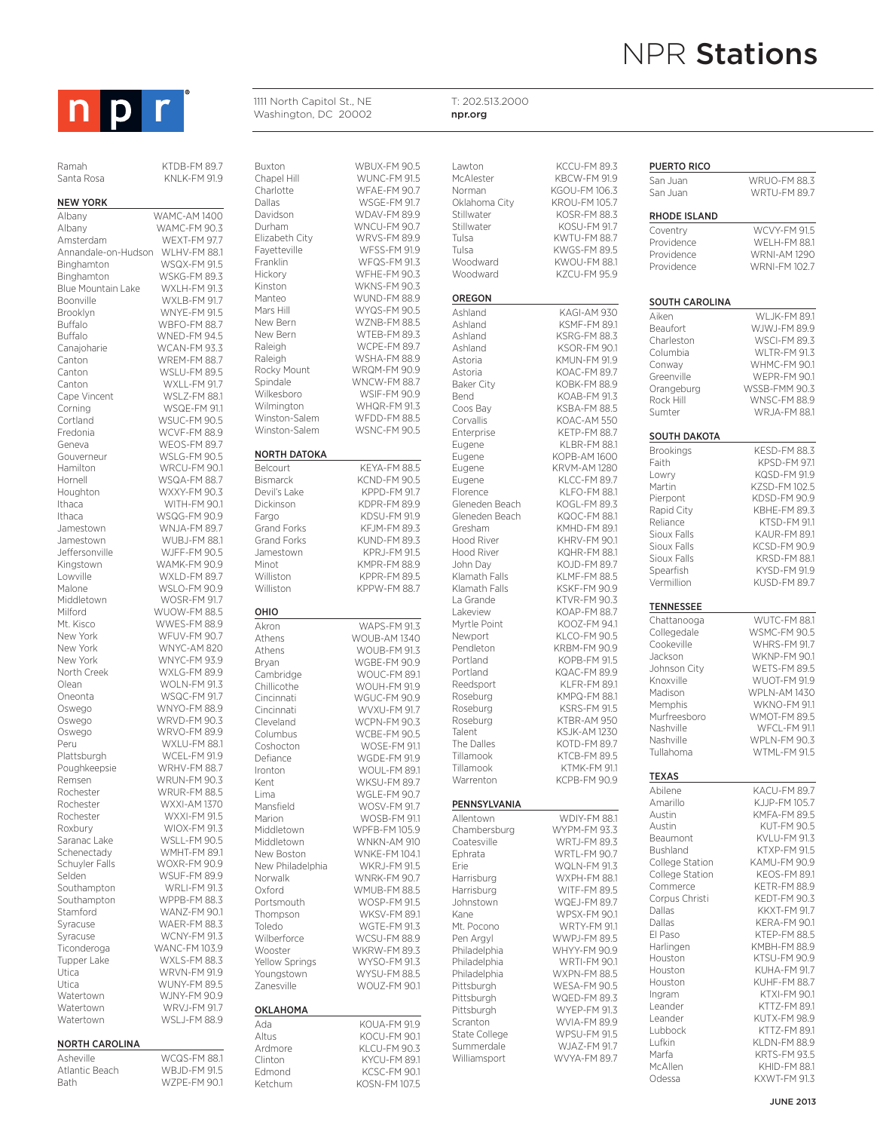

Ramah KTDB-FM 89.7<br>Santa Rosa KNI K-FM 91.9

such outdoor advertising and large exhibit displays and large exhibit displays and large exhibit displays and l **NEW YORK** Albany WAMC-FM 90.3 Amsterdam WEXT-FM 97.7<br>Annandale-on-Hudson WLHV-FM 88.1 Annandale-on-Hudson Binghamton WSQX-FM 91.5 Binghamton WSKG-FM 89.3 Blue Mountain Lake WXLH-FM 91.3 Boonville WXLB-FM 91.7<br>Brooklyn WNYE-FM 91.5 Brooklyn WNYE-FM 91.5<br>Buffalo WBFO-FM 88.7 Buffalo WBFO-FM 88.7<br>Buffalo WNED-FM 94.5 Canajoharie WCAN-FM 93.3 Canton WREM-FM 88.7 Canton WSLU-FM 89.5<br>Canton WXLL-FM 91.7 Cape Vincent<br>Corning Cortland WSUC-FM 90.5 Fredonia WCVF-FM 88.9 Geneva WEOS-FM 89.7 Gouverneur WSLG-FM 90.5<br>Hamilton WRCU-FM 90.1 Hornell WSQA-FM 88.7 Houghton WXXY-FM 90.3 Ithaca WITH-FM 90.1 Ithaca WSQG-FM 90.9 Jamestown WUBJ-FM 88.1 Jeffersonville WJFF-FM 90.5 Kingstown Lowville WXLD-FM 89.7<br>Malone WSLO-FM 90.9 Malone WSLO-FM 90.9<br>Middletown WOSR-FM 91.7 Milford WUOW-FM 88.5 Mt. Kisco WWES-FM 88.9 New York WFUV-FM 90.7<br>
New York WNYC-AM 820 New York WNYC-AM 820<br>
New York WNYC-FM 93.9 North Creek WXLG-FM 89.9 Olean WOLN-FM 91.3 Oneonta WSQC-FM 917 Oswego WNYO-FM 88.9<br>Oswego WRVD-FM 90.3 Oswego WRVO-FM 89.9 Plattsburgh WCEL-FM 91.9<br>Poughkeepsie WRHV-FM 88.7 Poughkeepsie Remsen WRUN-FM 90.3<br>Rochester WRUR-FM 88.5 Rochester WRUR-FM 88.5<br>Rochester WXXI-AM 1370 Rochester WXXI-FM 91.5 Roxbury WIOX-FM 91.3<br>Saranac Lake WSLL-FM 90.5 Schenectady WMHT-FM 89.1<br>Schuyler Falls WOXR-FM 90.9 Selden WSUF-FM 89.9 Southampton WRLI-FM 91.3 Southampton WPPB-FM 88.3<br>Stamford WANZ-FM 90.1 Syracuse WAER-FM 88.3 Syracuse WCNY-FM 91.3 Ticonderoga WANC-FM 103.9 Tupper Lake WXLS-FM 88.3<br>Utica WRVN-FM 91.9 Utica WUNY-FM 89.5 Watertown WRVJ-FM 91.7 Watertown WSLJ-FM 88.9

# NORTH CAROLINA

| Asheville      | <b>WCQS-FM 88.1</b> |
|----------------|---------------------|
| Atlantic Beach | <b>WR ID-FM 915</b> |
| <b>Bath</b>    | W7PF-FM 90.1        |

KNLK-FM 91.9 WNED-FM 94.5 WXLL-FM 91.7<br>WSLZ-FM 88.1 WSQE-FM 91.1 WRCU-FM 90.1 WNJA-FM 89.7 WOSR-FM 91.7 WNYC-FM 93.9 WRVD-FM 90.3 WXLU-FM 88.1 WXXI-AM 1370 WSLL-FM 90.5 WOXR-FM 90.9 WANZ-FM 90.1 **WRVN-FM 91.9** WJNY-FM 90.9 OHIO

Buxton WBUX-FM 90.5<br>Chapel Hill WUNC-FM 91.5 WUNC-FM 91.5 Charlotte WFAE-FM 90.7 Dallas WSGE-FM 91.7<br>Davidson WDAV-FM 89.9 Davidson WDAV-FM 89.9<br>Durham WNCU-FM 90.7 Durham WNCU-FM 90.7<br>Elizabeth City WRVS-FM 89.9 Elizabeth City WRVS-FM 89.9 WFSS-FM 91.9 Franklin WFQS-FM 91.3<br>Hickory WFHE-FM 90.3 WFHE-FM 90.3 Kinston WKNS-FM 90.3<br>Manteo WUND-FM 88.9 Manteo WUND-FM 88.9<br>Mars Hill WYQS-FM 90.5 Mars Hill WYQS-FM 90.5<br>New Bern W7NB-FM 88.5 WZNB-FM 88.5 New Bern WTEB-FM 89.3<br>
Raleigh WCPE-FM 89.7 WCPE-FM 89.7 Raleigh WSHA-FM 88.9<br>Rocky Mount WRQM-FM 90.9 WRQM-FM 90.9 Spindale WNCW-FM 88.7 Wilkesboro WSIF-FM 90.9<br>Wilmington WHQR-FM 91.3 WHQR-FM 91.3<br>WFDD-FM 88.5 Winston-Salem WFDD-FM 88.5<br>Winston-Salem WSNC-FM 90.5 Winston-Salem NORTH DATOKA Belcourt KEYA-FM 88.5 Bismarck KCND-FM 90.5 Devil's Lake KPPD-FM 91.7 Dickinson KDPR-FM 89.9<br>Fargo KDSU-FM 91.9 Fargo KDSU-FM 91.9<br>Grand Forks KFJM-FM 89.3 Grand Forks KFJM-FM 89.3<br>Grand Forks KUND-FM 89.3 KUND-FM 89.3 Jamestown KPRJ-FM 91.5 Minot KMDD-FM 88.0 Williston KPPR-FM 89.5<br>Williston KPPW-FM 88.7 KPPW-FM 88.7 Akron WAPS-FM 91.3<br>Athens WOUB-AM 1340 WOUB-AM 1340 Athens WOUB-FM 91.3 Bryan WGBE-FM 90.9<br>Cambridge WOUC-FM 89.1 Cambridge WOUC-FM 89.1<br>Chillicothe WOUH-FM 91.9 Chillicothe WOUH-FM 91.9<br>Cincinnati WGUC-FM 90.9 WGUC-FM 90.9 Cincinnati WVXU-FM 91.7 Cleveland WCPN-FM 90.3 Columbus<br>
Coshocton
WOSE-FM 91.1 WOSE-FM 91.1 Defiance WGDE-FM 91.9 Ironton WOUL-FM 89.1 Kent WKSU-FM 89.7 Lima WGLE-FM 90.7 Mansfield WOSV-FM 91.7 Marion WOSB-FM 91.1<br>Middletown WPFB-FM 105.9 WPFB-FM 105.9 Middletown WNKN-AM 910 New Boston WNKE-FM 1041 New Philadelphia WKRJ-FM 91.5<br>Norwalk WNRK-FM 90.7 Norwalk WNRK-FM 90.7<br>Oxford WMUB-FM 88.5 Oxford WMUB-FM 88.5<br>Portsmouth WOSP-FM 91.5 WOSP-FM 91.5 Thompson WKSV-FM 891 Toledo WGTF-FM 91.3 Wilberforce WCSU-FM 88.9<br>Wooster WKRW-FM 89.3 Wooster WKRW-FM 89.3 WYSO-FM 91.3 Youngstown WYSU-FM 88.5 Zanesville WOUZ-FM 90.1 OKLAHOMA Ada KOUA-FM 91.9<br>Altus KOCU-FM 90.1 KOCU-FM 90.1 Ardmore KLCU-FM 90.3<br>Clinton KYCU-FM 89.1 KYCU-FM 89.1 Edmond KCSC-FM 90.1 Ketchum KOSN-FM 107.5

1111 North Capitol St., NE Washington, DC 20002

T: 202.513.2000 npr.org

| Lawton<br>McAlester        | KCCU-FM 89.3<br>KBCW-FM 91.9               | PUERTO RICO                 |
|----------------------------|--------------------------------------------|-----------------------------|
| Norman                     | KGOU-FM 106.3                              | San Juan<br>San Juan        |
| Oklahoma City              | KROU-FM 105.7                              |                             |
| Stillwater                 | KOSR-FM 88.3                               | RHODE ISLAN                 |
| Stillwater                 | <b>KOSU-FM 91.7</b>                        | Coventry                    |
| Tulsa                      | KWTU-FM 88.7<br>KWGS-FM 89.5               | Providence                  |
| Tulsa<br>Woodward          | KWOU-FM 88.1                               | Providence                  |
| Woodward                   | KZCU-FM 95.9                               | Providence                  |
| OREGON                     |                                            |                             |
| Ashland                    | KAGI-AM 930                                | SOUTH CAROI                 |
| Ashland                    | KSMF-FM 89.1                               | Aiken<br>Beaufort           |
| Ashland                    | KSRG-FM 88.3                               | Charleston                  |
| Ashland                    | KSOR-FM 90.1                               | Columbia                    |
| Astoria                    | KMUN-FM 91.9                               | Conway                      |
| Astoria<br>Baker City      | KOAC-FM 89.7<br>KOBK-FM 88.9               | Greenville                  |
| Bend                       | KOAB-FM 91.3                               | Orangeburg                  |
| Coos Bay                   | KSBA-FM 88.5                               | Rock Hill<br>Sumter         |
| Corvallis                  | KOAC-AM 550                                |                             |
| Enterprise                 | <b>KETP-FM 88.7</b>                        | <b>SOUTH DAKOT</b>          |
| Eugene                     | KI BR-FM 88.1                              | <b>Brookings</b>            |
| Eugene<br>Eugene           | KOPB-AM 1600<br><b>KRVM-AM 1280</b>        | Faith                       |
| Eugene                     | KLCC-FM 89.7                               | Lowry                       |
| Florence                   | <b>KLFO-FM 88.1</b>                        | Martin                      |
| Gleneden Beach             | KOGL-FM 89.3                               | Pierpont<br>Rapid City      |
| Gleneden Beach             | KQOC-FM 88.1                               | Reliance                    |
| Gresham                    | KMHD-FM 89.1                               | Sioux Falls                 |
| Hood River<br>Hood River   | KHRV-FM 90.1<br>KQHR-FM 88.1               | Sioux Falls                 |
| John Day                   | <b>KOJD-FM 89.7</b>                        | Sioux Falls                 |
| Klamath Falls              | KLMF-FM 88.5                               | Spearfish                   |
| Klamath Falls              | KSKF-FM 90.9                               | Vermillion                  |
| La Grande                  | <b>KTVR-FM 90.3</b>                        | <b>TENNESSEE</b>            |
| Lakeview                   | KOAP-FM 88.7                               | Chattanooga                 |
| Myrtle Point<br>Newport    | KOOZ-FM 94.1<br>KLCO-FM 90.5               | Collegedale                 |
| Pendleton                  | KRBM-FM 90.9                               | Cookeville                  |
| Portland                   | KOPB-FM 91.5                               | Jackson                     |
| Portland                   | KQAC-FM 89.9                               | Johnson City                |
| Reedsport                  | KLFR-FM 89.1                               | Knoxville<br>Madison        |
| Roseburg                   | <b>KMPQ-FM 88.1</b><br><b>KSRS-FM 91.5</b> | Memphis                     |
| Roseburg<br>Roseburg       | KTBR-AM 950                                | Murfreesboro                |
| Talent                     | <b>KSJK-AM1230</b>                         | Nashville                   |
| The Dalles                 | KOTD-FM 89.7                               | Nashville                   |
| Tillamook                  | KTCB-FM 89.5                               | Tullahoma                   |
| Tillamook                  | KTMK-FM 91.1                               | <b>TEXAS</b>                |
| Warrenton                  | KCPB-FM 90.9                               | Abilene                     |
| PENNSYLVANIA               |                                            | Amarillo                    |
| Allentown                  | WDIY-FM 88.1                               | Austin                      |
| Chambersburg               | WYPM-FM 93.3                               | Austin                      |
| Coatesville                | <b>WRTJ-FM 89.3</b>                        | Beaumont                    |
| Ephrata                    | <b>WRTL-FM 90.7</b>                        | Bushland<br>College Station |
| Erie                       | <b>WQLN-FM 91.3</b>                        | College Station             |
| Harrisburg<br>Harrisburg   | <b>WXPH-FM 88.1</b><br>WITF-FM 89.5        | Commerce                    |
| Johnstown                  | <b>WQEJ-FM 89.7</b>                        | Corpus Christi              |
| Kane                       | <b>WPSX-FM 90.1</b>                        | Dallas                      |
| Mt. Pocono                 | <b>WRTY-FM 91.1</b>                        | Dallas                      |
| Pen Argyl                  | <b>WWPJ-FM 89.5</b>                        | El Paso                     |
| Philadelphia               | WHYY-FM 90.9                               | Harlingen<br>Houston        |
| Philadelphia               | <b>WRTI-FM 90.1</b><br><b>WXPN-FM 88.5</b> | Houston                     |
| Philadelphia<br>Pittsburgh | WESA-FM 90.5                               | Houston                     |
| Pittsburgh                 | <b>WQED-FM 89.3</b>                        | Ingram                      |
| Pittsburgh                 | <b>WYEP-FM 91.3</b>                        | Leander                     |
| Scranton                   | <b>WVIA-FM 89.9</b>                        | Leander                     |
| Anallon Atat2              | WPSLI-FM 915                               | Lubbock                     |

WJAZ-FM 91.7 WVYA-FM 89.7

| San Juan         | <b>WRUO-FM 88.3</b> |
|------------------|---------------------|
| San Juan         | <b>WRTU-FM 89.7</b> |
|                  |                     |
| RHODE ISLAND     |                     |
|                  |                     |
| Coventry         | WCVY-FM 91.5        |
| Providence       | WELH-FM 88.1        |
| Providence       | <b>WRNI-AM 1290</b> |
| Providence       | <b>WRNI-FM102.7</b> |
|                  |                     |
|                  |                     |
| SOUTH CAROLINA   |                     |
| Aiken            | <b>WLJK-FM 89.1</b> |
| Beaufort         | WJWJ-FM 89.9        |
| Charleston       | <b>WSCI-FM 89.3</b> |
| Columbia         | WLTR-FM 91.3        |
| Conway           | <b>WHMC-FM 90.1</b> |
| Greenville       | WEPR-FM 90.1        |
| Orangeburg       | WSSB-FMM 90.3       |
| Rock Hill        | <b>WNSC-FM 88.9</b> |
| Sumter           | <b>WRJA-FM 88.1</b> |
|                  |                     |
| SOUTH DAKOTA     |                     |
| Brookings        | KESD-FM 88.3        |
| Faith            | KPSD-FM 97.1        |
| Lowrv            | KQSD-FM 91.9        |
|                  |                     |
| Martin           | KZSD-FM 102.5       |
| Pierpont         | KDSD-FM 90.9        |
| Rapid City       | KBHE-FM 89.3        |
| Reliance         | KTSD-FM 91.1        |
| Sioux Falls      | KAUR-FM 89.1        |
| Sioux Falls      | KCSD-FM 90.9        |
| Sioux Falls      | KRSD-FM 88.1        |
| Spearfish        | KYSD-FM 91.9        |
| Vermillion       | KUSD-FM 89.7        |
|                  |                     |
| <b>TENNESSEE</b> |                     |
| Chattanooga      | WUTC-FM 88.1        |
| Collegedale      | WSMC-FM 90.5        |
| Cookeville       | <b>WHRS-FM 91.7</b> |
| Jackson          | WKNP-FM 90.1        |
| Johnson City     | <b>WETS-FM 89.5</b> |
| Knoxville        | WUOT-FM 91.9        |
| Madison          | <b>WPLN-AM1430</b>  |
| Memphis          | <b>WKNO-FM 91.1</b> |
| Murfreesboro     | <b>WMOT-FM 89.5</b> |
| Nashville        | WFCL-FM 91.1        |
| Nashville        | <b>WPLN-FM 90.3</b> |
| Tullahoma        | WTML-FM 91.5        |
|                  |                     |
| <b>TEXAS</b>     |                     |
| Abilene          | KACU-FM 89.7        |
| Amarillo         | KJJP-FM 105.7       |
| Austin           | KMFA-FM 89.5        |
| Austin           | KUT-FM 90.5         |
| Beaumont         | KVLU-FM 91.3        |
| Bushland         | KTXP-FM 91.5        |
|                  |                     |
| College Station  | KAMU-FM 90.9        |
| College Station  | <b>KEOS-FM 89.1</b> |
| Commerce         | KETR-FM 88.9        |
| Corpus Christi   | KEDT-FM 90.3        |
| Dallas           | <b>KKXT-FM 91.7</b> |
| Dallas           | KERA-FM 90.1        |
| El Paso          | KTEP-FM 88.5        |
| Harlingen        | KMBH-FM 88.9        |
| Houston          | KTSU-FM 90.9        |
| Houston          | KUHA-FM 91.7        |
| Houston          | KUHF-FM 88.7        |
| Ingram           | KTXI-FM 90.1        |
| Leander          | KTTZ-FM 89.1        |
| Leander          | KUTX-FM 98.9        |
| Lubbock          | KTTZ-FM 89.1        |
| Lufkin           | KLDN-FM 88.9        |
| Marfa            | KRTS-FM 93.5        |
| McAllen          | KHID-FM 88.1        |

Odessa KXWT-FM 91.3